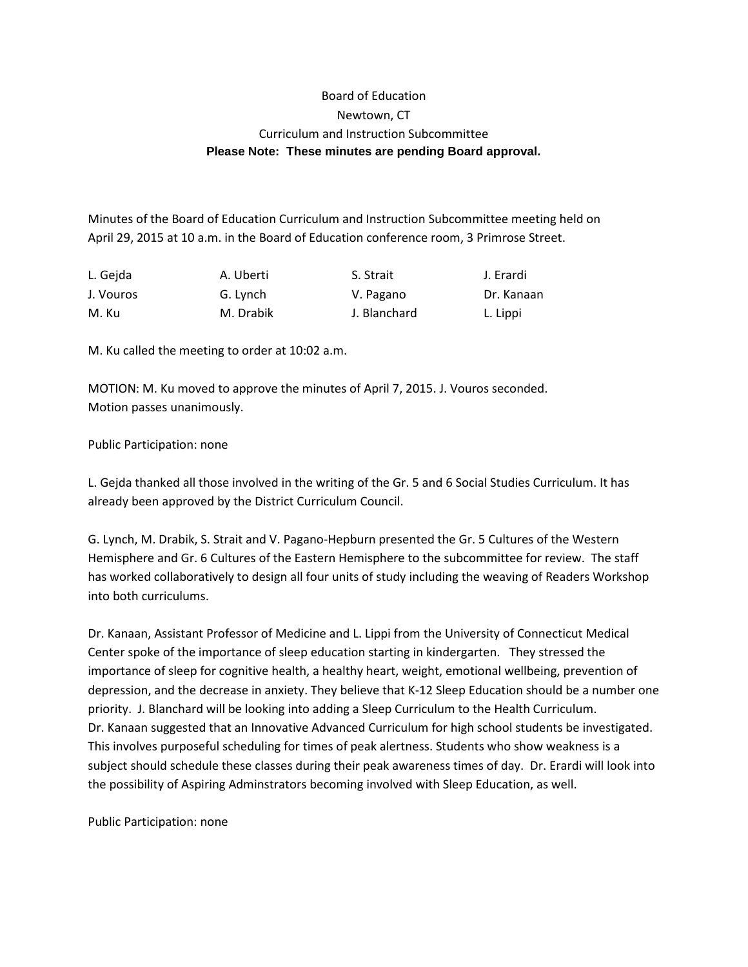## Board of Education Newtown, CT Curriculum and Instruction Subcommittee **Please Note: These minutes are pending Board approval.**

Minutes of the Board of Education Curriculum and Instruction Subcommittee meeting held on April 29, 2015 at 10 a.m. in the Board of Education conference room, 3 Primrose Street.

| L. Gejda  | A. Uberti | S. Strait    | J. Erardi  |
|-----------|-----------|--------------|------------|
| J. Vouros | G. Lynch  | V. Pagano    | Dr. Kanaan |
| M. Ku     | M. Drabik | J. Blanchard | L. Lippi   |

M. Ku called the meeting to order at 10:02 a.m.

MOTION: M. Ku moved to approve the minutes of April 7, 2015. J. Vouros seconded. Motion passes unanimously.

Public Participation: none

L. Gejda thanked all those involved in the writing of the Gr. 5 and 6 Social Studies Curriculum. It has already been approved by the District Curriculum Council.

G. Lynch, M. Drabik, S. Strait and V. Pagano-Hepburn presented the Gr. 5 Cultures of the Western Hemisphere and Gr. 6 Cultures of the Eastern Hemisphere to the subcommittee for review. The staff has worked collaboratively to design all four units of study including the weaving of Readers Workshop into both curriculums.

Dr. Kanaan, Assistant Professor of Medicine and L. Lippi from the University of Connecticut Medical Center spoke of the importance of sleep education starting in kindergarten. They stressed the importance of sleep for cognitive health, a healthy heart, weight, emotional wellbeing, prevention of depression, and the decrease in anxiety. They believe that K-12 Sleep Education should be a number one priority. J. Blanchard will be looking into adding a Sleep Curriculum to the Health Curriculum. Dr. Kanaan suggested that an Innovative Advanced Curriculum for high school students be investigated. This involves purposeful scheduling for times of peak alertness. Students who show weakness is a subject should schedule these classes during their peak awareness times of day. Dr. Erardi will look into the possibility of Aspiring Adminstrators becoming involved with Sleep Education, as well.

Public Participation: none